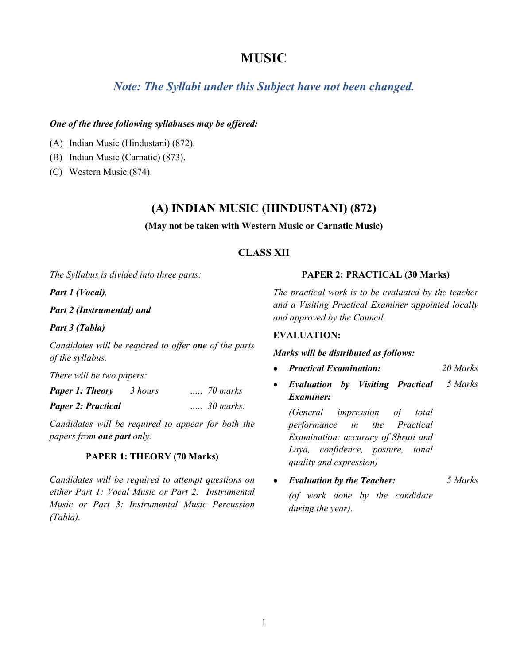# **MUSIC**

# *Note: The Syllabi under this Subject have not been changed.*

### *One of the three following syllabuses may be offered:*

- (A) Indian Music (Hindustani) (872).
- (B) Indian Music (Carnatic) (873).
- (C) Western Music (874).

# **(A) INDIAN MUSIC (HINDUSTANI) (872)**

#### **(May not be taken with Western Music or Carnatic Music)**

# **CLASS XII**

*The Syllabus is divided into three parts:* 

*Part 1 (Vocal),*

*Part 2 (Instrumental) and* 

*Part 3 (Tabla)*

*Candidates will be required to offer one of the parts of the syllabus.*

*There will be two papers:*

| <b>Paper 1: Theory</b>    | 3 hours | $\ldots$ 70 marks  |
|---------------------------|---------|--------------------|
| <b>Paper 2: Practical</b> |         | $\ldots$ 30 marks. |

*Candidates will be required to appear for both the papers from one part only.*

# **PAPER 1: THEORY (70 Marks)**

*Candidates will be required to attempt questions on either Part 1: Vocal Music or Part 2: Instrumental Music or Part 3: Instrumental Music Percussion (Tabla).*

### **PAPER 2: PRACTICAL (30 Marks)**

*The practical work is to be evaluated by the teacher and a Visiting Practical Examiner appointed locally and approved by the Council.*

### **EVALUATION:**

#### *Marks will be distributed as follows:*

- *Practical Examination: 20 Marks*
- *Evaluation by Visiting Practical Examiner: 5 Marks*

*(General impression of total performance in the Practical Examination: accuracy of Shruti and Laya, confidence, posture, tonal quality and expression)* 

• *Evaluation by the Teacher: (of work done by the candidate during the year). 5 Marks*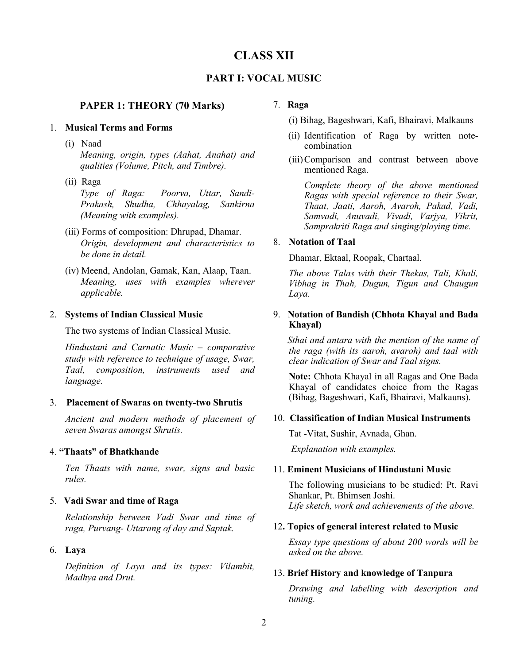# **CLASS XII**

# **PART I: VOCAL MUSIC**

## **PAPER 1: THEORY (70 Marks)**

#### 1. **Musical Terms and Forms**

(i) Naad

*Meaning, origin, types (Aahat, Anahat) and qualities (Volume, Pitch, and Timbre).*

(ii) Raga

*Type of Raga: Poorva, Uttar, Sandi-Prakash, Shudha, Chhayalag, Sankirna (Meaning with examples).*

- (iii) Forms of composition: Dhrupad, Dhamar. *Origin, development and characteristics to be done in detail.*
- (iv) Meend, Andolan, Gamak, Kan, Alaap, Taan. *Meaning, uses with examples wherever applicable.*

#### 2. **Systems of Indian Classical Music**

The two systems of Indian Classical Music.

*Hindustani and Carnatic Music – comparative study with reference to technique of usage, Swar, Taal, composition, instruments used and language.*

#### 3. **Placement of Swaras on twenty-two Shrutis**

*Ancient and modern methods of placement of seven Swaras amongst Shrutis.* 

#### 4. **"Thaats" of Bhatkhande**

*Ten Thaats with name, swar, signs and basic rules.*

### 5. **Vadi Swar and time of Raga**

*Relationship between Vadi Swar and time of raga, Purvang- Uttarang of day and Saptak.*

# 6. **Laya**

*Definition of Laya and its types: Vilambit, Madhya and Drut.*

#### 7. **Raga**

- (i) Bihag, Bageshwari, Kafi, Bhairavi, Malkauns
- (ii) Identification of Raga by written notecombination
- (iii)Comparison and contrast between above mentioned Raga.

*Complete theory of the above mentioned Ragas with special reference to their Swar, Thaat, Jaati, Aaroh, Avaroh, Pakad, Vadi, Samvadi, Anuvadi, Vivadi, Varjya, Vikrit, Samprakriti Raga and singing/playing time.*

### 8. **Notation of Taal**

Dhamar, Ektaal, Roopak, Chartaal.

*The above Talas with their Thekas, Tali, Khali, Vibhag in Thah, Dugun, Tigun and Chaugun Laya.*

### 9. **Notation of Bandish (Chhota Khayal and Bada Khayal)**

*Sthai and antara with the mention of the name of the raga (with its aaroh, avaroh) and taal with clear indication of Swar and Taal signs.*

**Note:** Chhota Khayal in all Ragas and One Bada Khayal of candidates choice from the Ragas (Bihag, Bageshwari, Kafi, Bhairavi, Malkauns).

#### 10. **Classification of Indian Musical Instruments**

Tat -Vitat, Sushir, Avnada, Ghan.

*Explanation with examples.*

#### 11. **Eminent Musicians of Hindustani Music**

The following musicians to be studied: Pt. Ravi Shankar, Pt. Bhimsen Joshi. *Life sketch, work and achievements of the above.*

#### 12**. Topics of general interest related to Music**

*Essay type questions of about 200 words will be asked on the above.*

#### 13. **Brief History and knowledge of Tanpura**

*Drawing and labelling with description and tuning.*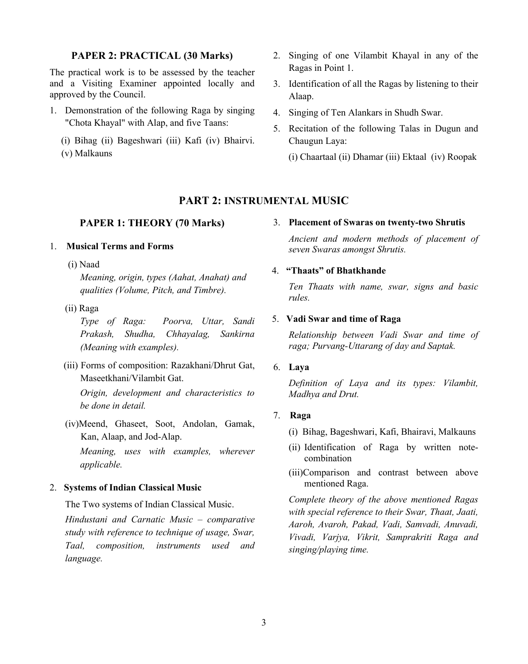# **PAPER 2: PRACTICAL (30 Marks)**

The practical work is to be assessed by the teacher and a Visiting Examiner appointed locally and approved by the Council.

- 1. Demonstration of the following Raga by singing "Chota Khayal" with Alap, and five Taans:
	- (i) Bihag (ii) Bageshwari (iii) Kafi (iv) Bhairvi. (v) Malkauns
- 2. Singing of one Vilambit Khayal in any of the Ragas in Point 1.
- 3. Identification of all the Ragas by listening to their Alaap.
- 4. Singing of Ten Alankars in Shudh Swar.
- 5. Recitation of the following Talas in Dugun and Chaugun Laya:
	- (i) Chaartaal (ii) Dhamar (iii) Ektaal (iv) Roopak

# **PART 2: INSTRUMENTAL MUSIC**

#### **PAPER 1: THEORY (70 Marks)**

### 1. **Musical Terms and Forms**

(i) Naad

*Meaning, origin, types (Aahat, Anahat) and qualities (Volume, Pitch, and Timbre).*

(ii) Raga

*Type of Raga: Poorva, Uttar, Sandi Prakash, Shudha, Chhayalag, Sankirna (Meaning with examples).*

(iii) Forms of composition: Razakhani/Dhrut Gat, Maseetkhani/Vilambit Gat.

*Origin, development and characteristics to be done in detail.*

(iv)Meend, Ghaseet, Soot, Andolan, Gamak, Kan, Alaap, and Jod-Alap.

*Meaning, uses with examples, wherever applicable.*

# 2. **Systems of Indian Classical Music**

The Two systems of Indian Classical Music.

*Hindustani and Carnatic Music – comparative study with reference to technique of usage, Swar, Taal, composition, instruments used and language.* 

#### 3. **Placement of Swaras on twenty-two Shrutis**

*Ancient and modern methods of placement of seven Swaras amongst Shrutis.* 

# 4.**"Thaats" of Bhatkhande**

*Ten Thaats with name, swar, signs and basic rules.*

#### 5. **Vadi Swar and time of Raga**

*Relationship between Vadi Swar and time of raga; Purvang-Uttarang of day and Saptak.* 

# 6. **Laya**

*Definition of Laya and its types: Vilambit, Madhya and Drut.*

## 7. **Raga**

- (i) Bihag, Bageshwari, Kafi, Bhairavi, Malkauns
- (ii) Identification of Raga by written notecombination
- (iii)Comparison and contrast between above mentioned Raga.

*Complete theory of the above mentioned Ragas with special reference to their Swar, Thaat, Jaati, Aaroh, Avaroh, Pakad, Vadi, Samvadi, Anuvadi, Vivadi, Varjya, Vikrit, Samprakriti Raga and singing/playing time.*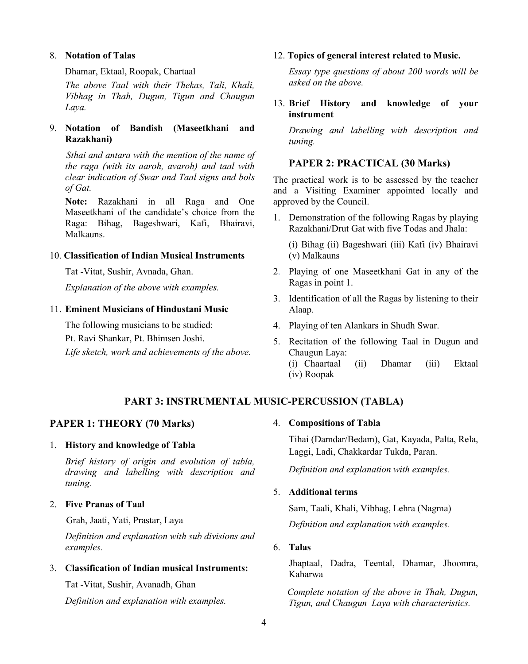### 8. **Notation of Talas**

Dhamar, Ektaal, Roopak, Chartaal

*The above Taal with their Thekas, Tali, Khali, Vibhag in Thah, Dugun, Tigun and Chaugun Laya.*

# 9. **Notation of Bandish (Maseetkhani and Razakhani)**

*Sthai and antara with the mention of the name of the raga (with its aaroh, avaroh) and taal with clear indication of Swar and Taal signs and bols of Gat.*

**Note:** Razakhani in all Raga and One Maseetkhani of the candidate's choice from the Raga: Bihag, Bageshwari, Kafi, Bhairavi, Malkauns.

### 10. **Classification of Indian Musical Instruments**

Tat -Vitat, Sushir, Avnada, Ghan.

*Explanation of the above with examples.*

### 11. **Eminent Musicians of Hindustani Music**

The following musicians to be studied:

Pt. Ravi Shankar, Pt. Bhimsen Joshi.

*Life sketch, work and achievements of the above.*

#### 12. **Topics of general interest related to Music.**

*Essay type questions of about 200 words will be asked on the above.*

# 13. **Brief History and knowledge of your instrument**

*Drawing and labelling with description and tuning.*

# **PAPER 2: PRACTICAL (30 Marks)**

The practical work is to be assessed by the teacher and a Visiting Examiner appointed locally and approved by the Council.

1. Demonstration of the following Ragas by playing Razakhani/Drut Gat with five Todas and Jhala:

(i) Bihag (ii) Bageshwari (iii) Kafi (iv) Bhairavi (v) Malkauns

- 2. Playing of one Maseetkhani Gat in any of the Ragas in point 1.
- 3. Identification of all the Ragas by listening to their Alaap.
- 4. Playing of ten Alankars in Shudh Swar.
- 5. Recitation of the following Taal in Dugun and Chaugun Laya: (i) Chaartaal (ii) Dhamar (iii) Ektaal (iv) Roopak

# **PART 3: INSTRUMENTAL MUSIC-PERCUSSION (TABLA)**

# **PAPER 1: THEORY (70 Marks)**

#### 1. **History and knowledge of Tabla**

*Brief history of origin and evolution of tabla, drawing and labelling with description and tuning.*

## 2. **Five Pranas of Taal**

Grah, Jaati, Yati, Prastar, Laya

*Definition and explanation with sub divisions and examples.*

# 3. **Classification of Indian musical Instruments:**

Tat -Vitat, Sushir, Avanadh, Ghan

*Definition and explanation with examples.*

#### 4. **Compositions of Tabla**

Tihai (Damdar/Bedam), Gat, Kayada, Palta, Rela, Laggi, Ladi, Chakkardar Tukda, Paran.

*Definition and explanation with examples.*

# 5. **Additional terms**

Sam, Taali, Khali, Vibhag, Lehra (Nagma) *Definition and explanation with examples.*

## 6. **Talas**

 Jhaptaal, Dadra, Teental, Dhamar, Jhoomra, Kaharwa

 *Complete notation of the above in Thah, Dugun, Tigun, and Chaugun Laya with characteristics.*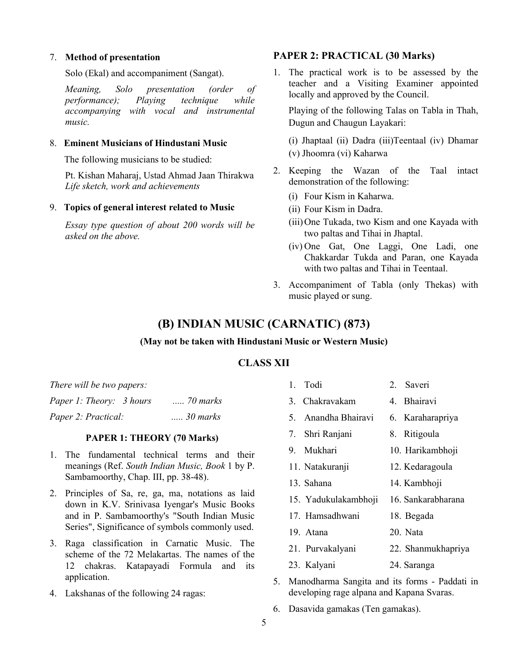#### 7. **Method of presentation**

Solo (Ekal) and accompaniment (Sangat).

*Meaning, Solo presentation (order of performance); Playing technique while accompanying with vocal and instrumental music.*

## 8. **Eminent Musicians of Hindustani Music**

The following musicians to be studied:

Pt. Kishan Maharaj, Ustad Ahmad Jaan Thirakwa *Life sketch, work and achievements* 

#### 9. **Topics of general interest related to Music**

*Essay type question of about 200 words will be asked on the above.*

# **PAPER 2: PRACTICAL (30 Marks)**

1. The practical work is to be assessed by the teacher and a Visiting Examiner appointed locally and approved by the Council.

Playing of the following Talas on Tabla in Thah, Dugun and Chaugun Layakari:

(i) Jhaptaal (ii) Dadra (iii)Teentaal (iv) Dhamar (v) Jhoomra (vi) Kaharwa

- 2. Keeping the Wazan of the Taal intact demonstration of the following:
	- (i) Four Kism in Kaharwa.
	- (ii) Four Kism in Dadra.
	- (iii)One Tukada, two Kism and one Kayada with two paltas and Tihai in Jhaptal.
	- (iv) One Gat, One Laggi, One Ladi, one Chakkardar Tukda and Paran, one Kayada with two paltas and Tihai in Teentaal.
- 3. Accompaniment of Tabla (only Thekas) with music played or sung.

# **(B) INDIAN MUSIC (CARNATIC) (873)**

#### **(May not be taken with Hindustani Music or Western Music)**

# **CLASS XII**

| There will be two papers: |                     |  |  |  |
|---------------------------|---------------------|--|--|--|
| Paper 1: Theory: 3 hours  | $\ldots$ . 70 marks |  |  |  |
| Paper 2: Practical:       | $\ldots$ 30 marks   |  |  |  |

#### **PAPER 1: THEORY (70 Marks)**

- 1. The fundamental technical terms and their meanings (Ref. *South Indian Music, Book* 1 by P. Sambamoorthy, Chap. III, pp. 38-48).
- 2. Principles of Sa, re, ga, ma, notations as laid down in K.V. Srinivasa Iyengar's Music Books and in P. Sambamoorthy's "South Indian Music Series", Significance of symbols commonly used.
- 3. Raga classification in Carnatic Music. The scheme of the 72 Melakartas. The names of the 12 chakras. Katapayadi Formula and its application.
- 4. Lakshanas of the following 24 ragas:

| 1. Todi              | 2. Saveri          |
|----------------------|--------------------|
| 3. Chakravakam       | 4. Bhairavi        |
| 5. Anandha Bhairavi  | 6. Karaharapriya   |
| 7. Shri Ranjani      | 8. Ritigoula       |
| 9. Mukhari           | 10. Harikambhoji   |
| 11. Natakuranji      | 12. Kedaragoula    |
| 13. Sahana           | 14. Kambhoji       |
| 15. Yadukulakambhoji | 16. Sankarabharana |
| 17. Hamsadhwani      | 18. Begada         |
| 19. Atana            | 20. Nata           |
|                      |                    |

- 21. Purvakalyani 22. Shanmukhapriya
- 23. Kalyani 24. Saranga
- 5. Manodharma Sangita and its forms Paddati in developing rage alpana and Kapana Svaras.
- 6. Dasavida gamakas (Ten gamakas).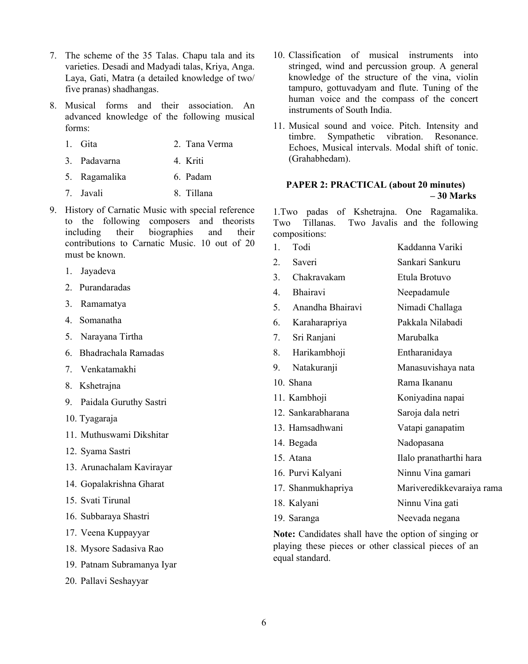- 7. The scheme of the 35 Talas. Chapu tala and its varieties. Desadi and Madyadi talas, Kriya, Anga. Laya, Gati, Matra (a detailed knowledge of two/ five pranas) shadhangas.
- 8. Musical forms and their association. An advanced knowledge of the following musical forms:
	- 1. Gita 2. Tana Verma
	- 3. Padavarna 4. Kriti
	- 5. Ragamalika 6. Padam
	- 7. Javali 8. Tillana
- 9. History of Carnatic Music with special reference to the following composers and theorists including their biographies and their contributions to Carnatic Music. 10 out of 20 must be known.
	- 1. Jayadeva
	- 2. Purandaradas
	- 3. Ramamatya
	- 4. Somanatha
	- 5. Narayana Tirtha
	- 6. Bhadrachala Ramadas
	- 7. Venkatamakhi
	- 8. Kshetrajna
	- 9. Paidala Guruthy Sastri
	- 10. Tyagaraja
	- 11. Muthuswami Dikshitar
	- 12. Syama Sastri
	- 13. Arunachalam Kavirayar
	- 14. Gopalakrishna Gharat
	- 15. Svati Tirunal
	- 16. Subbaraya Shastri
	- 17. Veena Kuppayyar
	- 18. Mysore Sadasiva Rao
	- 19. Patnam Subramanya Iyar
	- 20. Pallavi Seshayyar
- 10. Classification of musical instruments into stringed, wind and percussion group. A general knowledge of the structure of the vina, violin tampuro, gottuvadyam and flute. Tuning of the human voice and the compass of the concert instruments of South India.
- 11. Musical sound and voice. Pitch. Intensity and timbre. Sympathetic vibration. Resonance. Echoes, Musical intervals. Modal shift of tonic. (Grahabhedam).

#### **PAPER 2: PRACTICAL (about 20 minutes) – 30 Marks**

1.Two padas of Kshetrajna. One Ragamalika. Two Tillanas. Two Javalis and the following compositions:

| 1. | Todi               | Kaddanna Variki           |
|----|--------------------|---------------------------|
| 2. | Saveri             | Sankari Sankuru           |
| 3. | Chakravakam        | Etula Brotuvo             |
| 4. | Bhairavi           | Neepadamule               |
| 5. | Anandha Bhairavi   | Nimadi Challaga           |
| 6. | Karaharapriya      | Pakkala Nilabadi          |
| 7. | Sri Ranjani        | Marubalka                 |
| 8. | Harikambhoji       | Entharanidaya             |
| 9. | Natakuranji        | Manasuvishaya nata        |
|    | 10. Shana          | Rama Ikananu              |
|    | 11. Kambhoji       | Koniyadina napai          |
|    | 12. Sankarabharana | Saroja dala netri         |
|    | 13. Hamsadhwani    | Vatapi ganapatim          |
|    | 14. Begada         | Nadopasana                |
|    | 15. Atana          | Ilalo pranatharthi hara   |
|    | 16. Purvi Kalyani  | Ninnu Vina gamari         |
|    | 17. Shanmukhapriya | Mariveredikkevaraiya rama |
|    | 18. Kalyani        | Ninnu Vina gati           |
|    | 19. Saranga        | Neevada negana            |

**Note:** Candidates shall have the option of singing or playing these pieces or other classical pieces of an equal standard.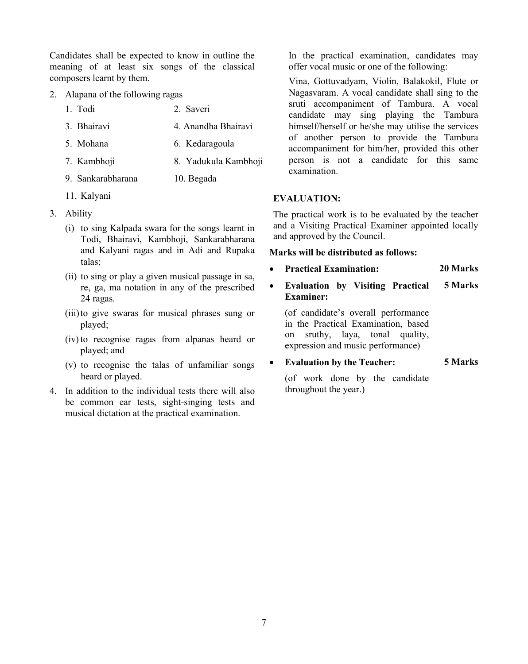Candidates shall be expected to know in outline the meaning of at least six songs of the classical composers learnt by them.

- 2. Alapana of the following ragas
	- 1. Todi 2. Saveri
	- 3. Bhairavi 4. Anandha Bhairavi
	- 5. Mohana 6. Kedaragoula
	- 7. Kambhoji 8. Yadukula Kambhoji
	- 9. Sankarabharana 10. Begada
	- 11. Kalyani
- 3. Ability
	- (i) to sing Kalpada swara for the songs learnt in Todi, Bhairavi, Kambhoji, Sankarabharana and Kalyani ragas and in Adi and Rupaka talas;
	- (ii) to sing or play a given musical passage in sa, re, ga, ma notation in any of the prescribed 24 ragas.
	- (iii)to give swaras for musical phrases sung or played;
	- (iv) to recognise ragas from alpanas heard or played; and
	- (v) to recognise the talas of unfamiliar songs heard or played.
- 4. In addition to the individual tests there will also be common ear tests, sight-singing tests and musical dictation at the practical examination.

In the practical examination, candidates may offer vocal music or one of the following:

Vina, Gottuvadyam, Violin, Balakokil, Flute or Nagasvaram. A vocal candidate shall sing to the sruti accompaniment of Tambura. A vocal candidate may sing playing the Tambura himself/herself or he/she may utilise the services of another person to provide the Tambura accompaniment for him/her, provided this other person is not a candidate for this same examination.

## **EVALUATION:**

The practical work is to be evaluated by the teacher and a Visiting Practical Examiner appointed locally and approved by the Council.

## **Marks will be distributed as follows:**

- **Practical Examination: 20 Marks**
- **Evaluation by Visiting Practical Examiner: 5 Marks**

(of candidate's overall performance in the Practical Examination, based on sruthy, laya, tonal quality, expression and music performance)

• **Evaluation by the Teacher: 5 Marks**

(of work done by the candidate throughout the year.)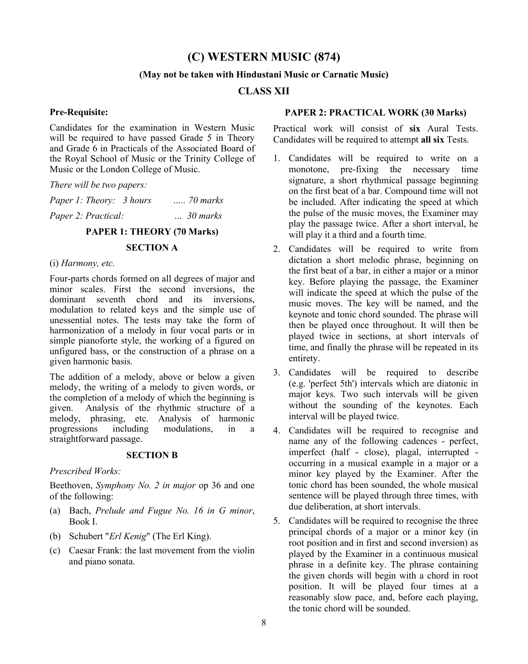# **(C) WESTERN MUSIC (874)**

#### **(May not be taken with Hindustani Music or Carnatic Music)**

## **CLASS XII**

#### **Pre-Requisite:**

Candidates for the examination in Western Music will be required to have passed Grade 5 in Theory and Grade 6 in Practicals of the Associated Board of the Royal School of Music or the Trinity College of Music or the London College of Music.

*There will be two papers:* 

| Paper 1: Theory: 3 hours | $\ldots$ . 70 marks |
|--------------------------|---------------------|
| Paper 2: Practical:      | $\ldots 30$ marks   |
|                          |                     |

# **PAPER 1: THEORY (70 Marks)**

#### **SECTION A**

#### (i) *Harmony, etc.*

Four-parts chords formed on all degrees of major and minor scales. First the second inversions, the dominant seventh chord and its inversions, modulation to related keys and the simple use of unessential notes. The tests may take the form of harmonization of a melody in four vocal parts or in simple pianoforte style, the working of a figured on unfigured bass, or the construction of a phrase on a given harmonic basis.

The addition of a melody, above or below a given melody, the writing of a melody to given words, or the completion of a melody of which the beginning is<br>given. Analysis of the rhythmic structure of a Analysis of the rhythmic structure of a melody, phrasing, etc. Analysis of harmonic<br>progressions including modulations, in a modulations, in a straightforward passage.

#### **SECTION B**

#### *Prescribed Works:*

Beethoven, *Symphony No. 2 in major* op 36 and one of the following:

- (a) Bach, *Prelude and Fugue No. 16 in G minor*, Book I.
- (b) Schubert "*Erl Kenig*" (The Erl King).
- (c) Caesar Frank: the last movement from the violin and piano sonata.

#### **PAPER 2: PRACTICAL WORK (30 Marks)**

Practical work will consist of **six** Aural Tests. Candidates will be required to attempt **all six** Tests.

- 1. Candidates will be required to write on a monotone, pre-fixing the necessary time signature, a short rhythmical passage beginning on the first beat of a bar. Compound time will not be included. After indicating the speed at which the pulse of the music moves, the Examiner may play the passage twice. After a short interval, he will play it a third and a fourth time.
- 2. Candidates will be required to write from dictation a short melodic phrase, beginning on the first beat of a bar, in either a major or a minor key. Before playing the passage, the Examiner will indicate the speed at which the pulse of the music moves. The key will be named, and the keynote and tonic chord sounded. The phrase will then be played once throughout. It will then be played twice in sections, at short intervals of time, and finally the phrase will be repeated in its entirety.
- 3. Candidates will be required to describe (e.g. 'perfect 5th') intervals which are diatonic in major keys. Two such intervals will be given without the sounding of the keynotes. Each interval will be played twice.
- 4. Candidates will be required to recognise and name any of the following cadences - perfect, imperfect (half - close), plagal, interrupted occurring in a musical example in a major or a minor key played by the Examiner. After the tonic chord has been sounded, the whole musical sentence will be played through three times, with due deliberation, at short intervals.
- 5. Candidates will be required to recognise the three principal chords of a major or a minor key (in root position and in first and second inversion) as played by the Examiner in a continuous musical phrase in a definite key. The phrase containing the given chords will begin with a chord in root position. It will be played four times at a reasonably slow pace, and, before each playing, the tonic chord will be sounded.